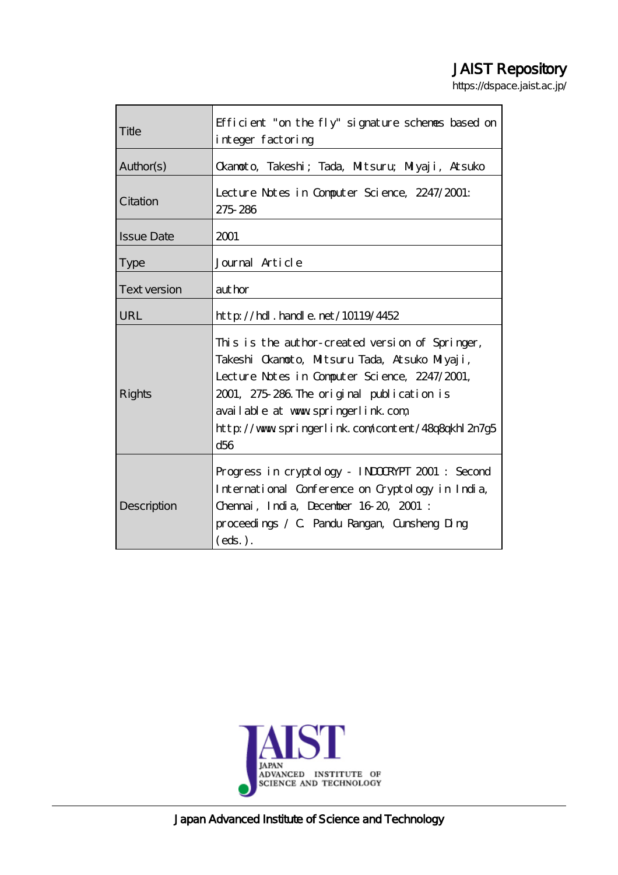# JAIST Repository

https://dspace.jaist.ac.jp/

| Title               | Efficient "on the fly" signature schemes based on<br>integer factoring                                                                                                                                                                                                                           |  |  |  |  |  |
|---------------------|--------------------------------------------------------------------------------------------------------------------------------------------------------------------------------------------------------------------------------------------------------------------------------------------------|--|--|--|--|--|
| Author(s)           | Ckanoto, Takeshi; Tada, Mitsuru; Miyaji, Atsuko                                                                                                                                                                                                                                                  |  |  |  |  |  |
| Citation            | Lecture Notes in Computer Science, 2247/2001:<br>275 286                                                                                                                                                                                                                                         |  |  |  |  |  |
| <b>Issue Date</b>   | 2001                                                                                                                                                                                                                                                                                             |  |  |  |  |  |
| <b>Type</b>         | Journal Article                                                                                                                                                                                                                                                                                  |  |  |  |  |  |
| <b>Text version</b> | aut hor                                                                                                                                                                                                                                                                                          |  |  |  |  |  |
| URL                 | $http$ // $hdl$ . handle. net/10119/4452                                                                                                                                                                                                                                                         |  |  |  |  |  |
| Rights              | This is the author-created version of Springer,<br>Takeshi Okanoto, Mitsuru Tada, Atsuko Miyaji,<br>Lecture Notes in Computer Science, 2247/2001,<br>2001, 275–286. The original publication is<br>available at www.springerlink.com<br>http://www.springerlink.com/content/48q8qkhl2n7g5<br>d56 |  |  |  |  |  |
| Description         | Progress in cryptology - INDORYPT 2001 : Second<br>International Conference on Cryptology in India,<br>Chennai, India, December 16 20, 2001 :<br>$proceedings / C$ Pandu Rangan, Cunsheng Ding<br>$(\text{eds.})$ .                                                                              |  |  |  |  |  |

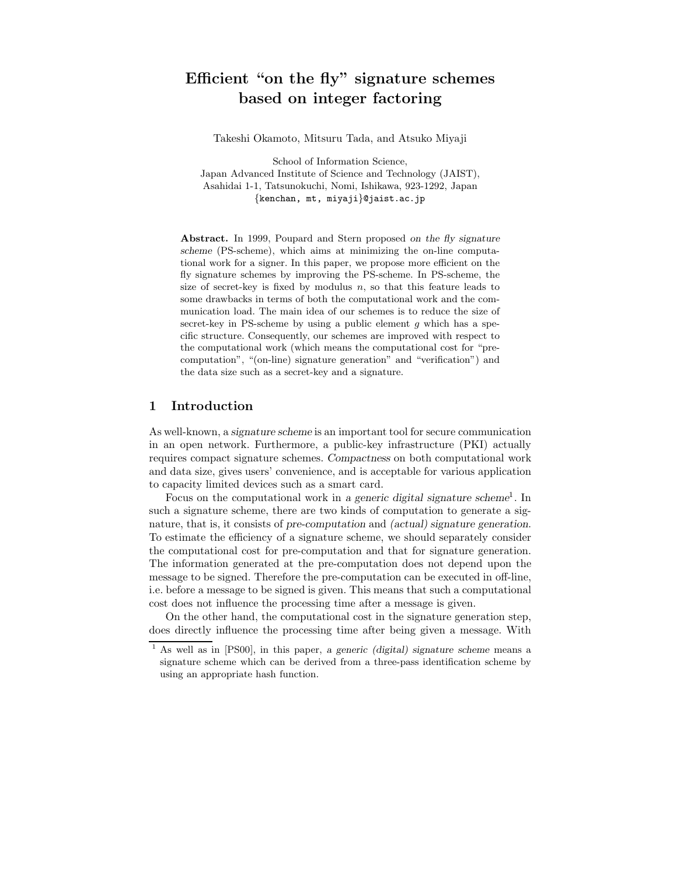## **Efficient "on the fly" signature schemes based on integer factoring**

Takeshi Okamoto, Mitsuru Tada, and Atsuko Miyaji

School of Information Science, Japan Advanced Institute of Science and Technology (JAIST), Asahidai 1-1, Tatsunokuchi, Nomi, Ishikawa, 923-1292, Japan {kenchan, mt, miyaji}@jaist.ac.jp

**Abstract.** In 1999, Poupard and Stern proposed *on the fly signature scheme* (PS-scheme), which aims at minimizing the on-line computational work for a signer. In this paper, we propose more efficient on the fly signature schemes by improving the PS-scheme. In PS-scheme, the size of secret-key is fixed by modulus  $n$ , so that this feature leads to some drawbacks in terms of both the computational work and the communication load. The main idea of our schemes is to reduce the size of secret-key in PS-scheme by using a public element  $g$  which has a specific structure. Consequently, our schemes are improved with respect to the computational work (which means the computational cost for "precomputation", "(on-line) signature generation" and "verification") and the data size such as a secret-key and a signature.

## **1 Introduction**

As well-known, a *signature scheme* is an important tool for secure communication in an open network. Furthermore, a public-key infrastructure (PKI) actually requires compact signature schemes. *Compactness* on both computational work and data size, gives users' convenience, and is acceptable for various application to capacity limited devices such as a smart card.

Focus on the computational work in *a generic digital signature scheme*<sup>1</sup>. In such a signature scheme, there are two kinds of computation to generate a signature, that is, it consists of *pre-computation* and *(actual) signature generation*. To estimate the efficiency of a signature scheme, we should separately consider the computational cost for pre-computation and that for signature generation. The information generated at the pre-computation does not depend upon the message to be signed. Therefore the pre-computation can be executed in off-line, i.e. before a message to be signed is given. This means that such a computational cost does not influence the processing time after a message is given.

On the other hand, the computational cost in the signature generation step, does directly influence the processing time after being given a message. With

<sup>1</sup> As well as in [PS00], in this paper, *a generic (digital) signature scheme* means a signature scheme which can be derived from a three-pass identification scheme by using an appropriate hash function.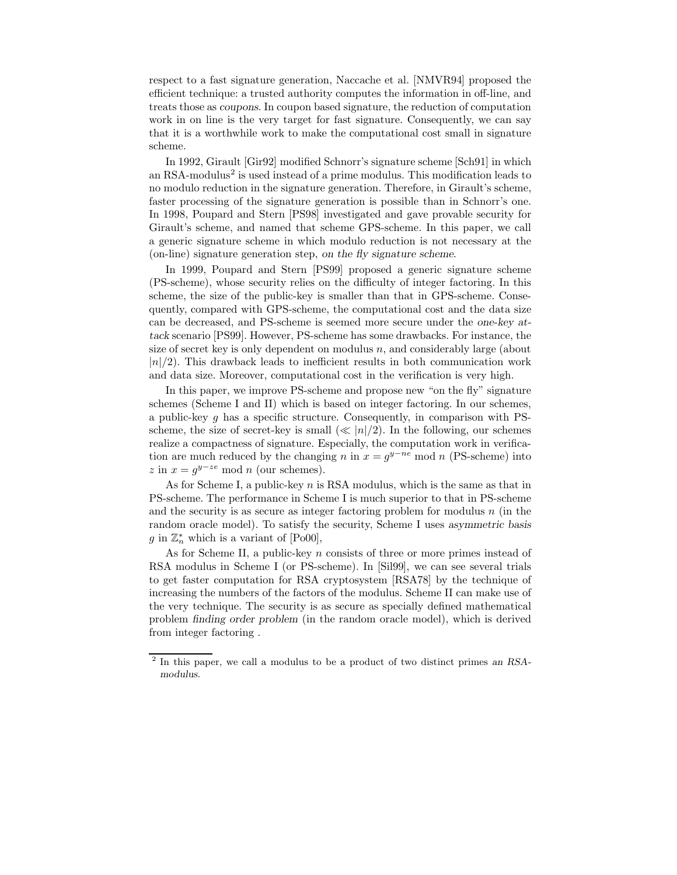respect to a fast signature generation, Naccache et al. [NMVR94] proposed the efficient technique: a trusted authority computes the information in off-line, and treats those as *coupons*. In coupon based signature, the reduction of computation work in on line is the very target for fast signature. Consequently, we can say that it is a worthwhile work to make the computational cost small in signature scheme.

In 1992, Girault [Gir92] modified Schnorr's signature scheme [Sch91] in which an  $\text{RSA-modulus}^2$  is used instead of a prime modulus. This modification leads to no modulo reduction in the signature generation. Therefore, in Girault's scheme, faster processing of the signature generation is possible than in Schnorr's one. In 1998, Poupard and Stern [PS98] investigated and gave provable security for Girault's scheme, and named that scheme GPS-scheme. In this paper, we call a generic signature scheme in which modulo reduction is not necessary at the (on-line) signature generation step, *on the fly signature scheme*.

In 1999, Poupard and Stern [PS99] proposed a generic signature scheme (PS-scheme), whose security relies on the difficulty of integer factoring. In this scheme, the size of the public-key is smaller than that in GPS-scheme. Consequently, compared with GPS-scheme, the computational cost and the data size can be decreased, and PS-scheme is seemed more secure under the *one-key attack* scenario [PS99]. However, PS-scheme has some drawbacks. For instance, the size of secret key is only dependent on modulus n, and considerably large (about  $|n|/2$ . This drawback leads to inefficient results in both communication work and data size. Moreover, computational cost in the verification is very high.

In this paper, we improve PS-scheme and propose new "on the fly" signature schemes (Scheme I and II) which is based on integer factoring. In our schemes, a public-key g has a specific structure. Consequently, in comparison with PSscheme, the size of secret-key is small  $(\ll |n|/2)$ . In the following, our schemes<br>realize a compactness of signature. Especially, the computation work in verificarealize a compactness of signature. Especially, the computation work in verification are much reduced by the changing n in  $x = g^{y-ne} \mod n$  (PS-scheme) into z in  $x = q^{y-ze}$  mod n (our schemes).

As for Scheme I, a public-key  $n$  is RSA modulus, which is the same as that in PS-scheme. The performance in Scheme I is much superior to that in PS-scheme and the security is as secure as integer factoring problem for modulus  $n$  (in the random oracle model). To satisfy the security, Scheme I uses *asymmetric basis* g in  $\mathbb{Z}_n^*$  which is a variant of [Po00],

As for Scheme II, a public-key  $n$  consists of three or more primes instead of RSA modulus in Scheme I (or PS-scheme). In [Sil99], we can see several trials to get faster computation for RSA cryptosystem [RSA78] by the technique of increasing the numbers of the factors of the modulus. Scheme II can make use of the very technique. The security is as secure as specially defined mathematical problem *finding order problem* (in the random oracle model), which is derived from integer factoring .

<sup>2</sup> In this paper, we call a modulus to be a product of two distinct primes *an RSAmodulus*.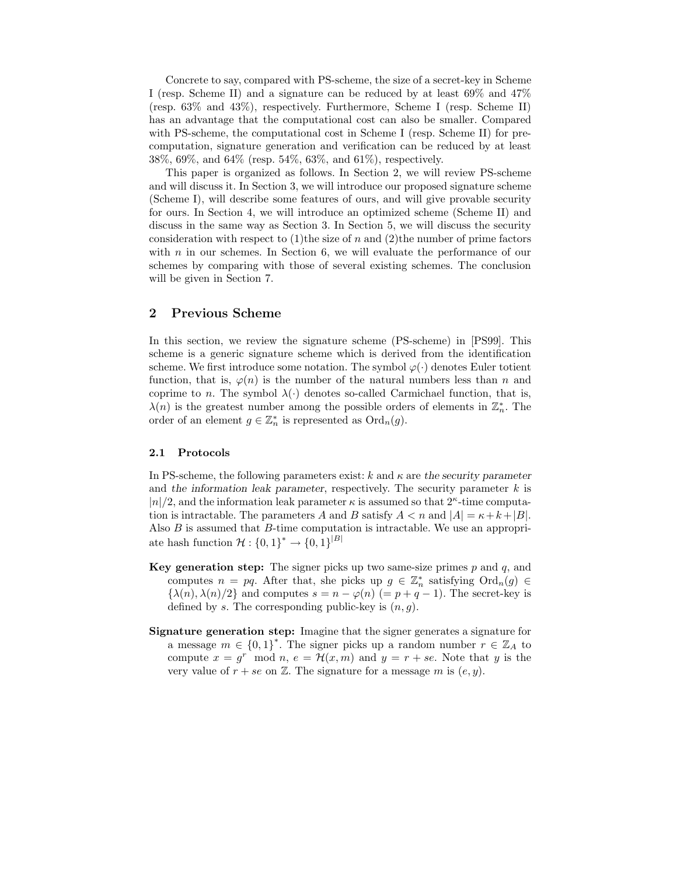Concrete to say, compared with PS-scheme, the size of a secret-key in Scheme I (resp. Scheme II) and a signature can be reduced by at least 69% and 47% (resp. 63\%) and 43\%), respectively. Furthermore, Scheme I (resp. Scheme II) has an advantage that the computational cost can also be smaller. Compared with PS-scheme, the computational cost in Scheme I (resp. Scheme II) for precomputation, signature generation and verification can be reduced by at least 38%, 69%, and 64% (resp. 54%, 63%, and 61%), respectively.

This paper is organized as follows. In Section 2, we will review PS-scheme and will discuss it. In Section 3, we will introduce our proposed signature scheme (Scheme I), will describe some features of ours, and will give provable security for ours. In Section 4, we will introduce an optimized scheme (Scheme II) and discuss in the same way as Section 3. In Section 5, we will discuss the security consideration with respect to  $(1)$ the size of n and  $(2)$ the number of prime factors with  $n$  in our schemes. In Section 6, we will evaluate the performance of our schemes by comparing with those of several existing schemes. The conclusion will be given in Section 7.

## **2 Previous Scheme**

In this section, we review the signature scheme (PS-scheme) in [PS99]. This scheme is a generic signature scheme which is derived from the identification scheme. We first introduce some notation. The symbol  $\varphi(\cdot)$  denotes Euler totient function, that is,  $\varphi(n)$  is the number of the natural numbers less than n and coprime to n. The symbol  $\lambda(\cdot)$  denotes so-called Carmichael function, that is,  $\lambda(n)$  is the greatest number among the possible orders of elements in  $\mathbb{Z}_n^*$ . The order of an element  $a \in \mathbb{Z}^*$  is represented as Ord  $(a)$ order of an element  $g \in \mathbb{Z}_n^*$  is represented as  $\text{Ord}_n(g)$ .

## **2.1 Protocols**

In PS-scheme, the following parameters exist: k and κ are *the security parameter* and *the information leak parameter*, respectively. The security parameter k is  $|n|/2$ , and the information leak parameter  $\kappa$  is assumed so that  $2^{\kappa}$ -time computation is intractable. The parameters A and B satisfy  $A < n$  and  $|A| = \kappa + k + |B|$ . Also  $B$  is assumed that  $B$ -time computation is intractable. We use an appropriate hash function  $\mathcal{H} : \{0,1\}^* \to \{0,1\}^{|B|}$ 

- **Key generation step:** The signer picks up two same-size primes p and q, and computes  $n = pq$ . After that, she picks up  $g \in \mathbb{Z}_n^*$  satisfying  $\text{Ord}_n(g) \in \Omega(n)$   $\lambda(n)/2$  and computes  $s = n - \varphi(n)$   $(-n + a - 1)$ . The secret-key is  $\{\lambda(n), \lambda(n)/2\}$  and computes  $s = n - \varphi(n)$  (=  $p + q - 1$ ). The secret-key is defined by s. The corresponding public-key is  $(n, g)$ .
- **Signature generation step:** Imagine that the signer generates a signature for a message  $m \in \{0,1\}^*$ . The signer picks up a random number  $r \in \mathbb{Z}_A$  to compute  $r = a^r \mod n$ ,  $e = \mathcal{H}(r, m)$  and  $u = r + se$ . Note that u is the compute  $x = g^r \mod n$ ,  $e = \mathcal{H}(x, m)$  and  $y = r + se$ . Note that y is the very value of  $r + se$  on  $\mathbb{Z}$ . The signature for a message m is  $(e, y)$ .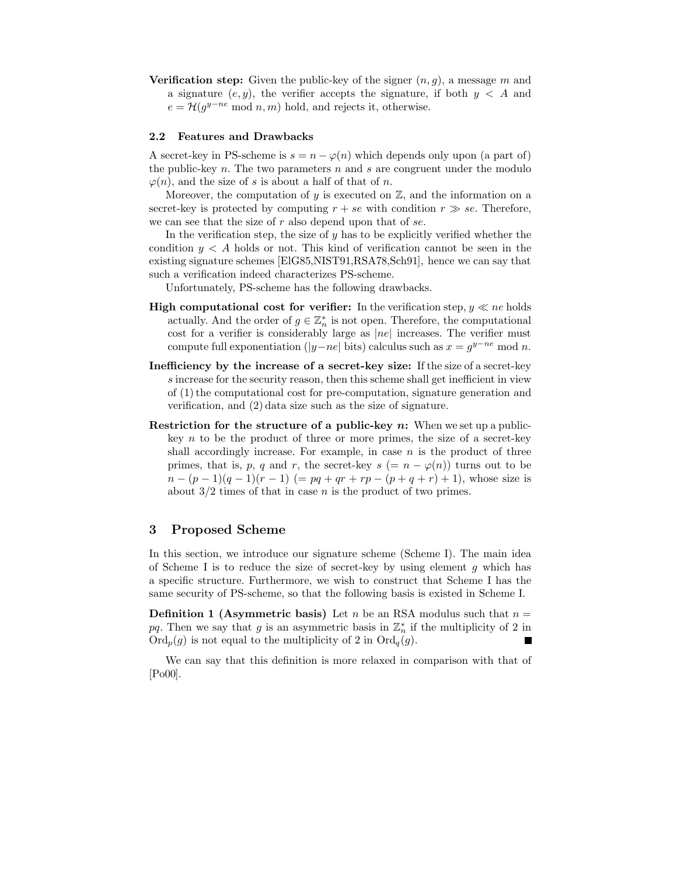**Verification step:** Given the public-key of the signer  $(n, q)$ , a message m and a signature  $(e, y)$ , the verifier accepts the signature, if both  $y < A$  and  $e = \mathcal{H}(g^{y-ne} \mod n, m)$  hold, and rejects it, otherwise.

#### **2.2 Features and Drawbacks**

A secret-key in PS-scheme is  $s = n - \varphi(n)$  which depends only upon (a part of) the public-key n. The two parameters  $n$  and  $s$  are congruent under the modulo  $\varphi(n)$ , and the size of s is about a half of that of n.

Moreover, the computation of y is executed on  $\mathbb{Z}$ , and the information on a secret-key is protected by computing  $r + se$  with condition  $r \gg se$ . Therefore, we can see that the size of  $r$  also depend upon that of  $se$ .

In the verification step, the size of  $y$  has to be explicitly verified whether the condition  $y < A$  holds or not. This kind of verification cannot be seen in the existing signature schemes [ElG85,NIST91,RSA78,Sch91], hence we can say that such a verification indeed characterizes PS-scheme.

Unfortunately, PS-scheme has the following drawbacks.

- **High computational cost for verifier:** In the verification step,  $y \ll ne$  holds actually. And the order of  $a \in \mathbb{Z}^*$  is not open. Therefore, the computational actually. And the order of  $g \in \mathbb{Z}_n^*$  is not open. Therefore, the computational cost for a verifier is considerably large as |ne| increases. The verifier must cost for a verifier is considerably large as  $|ne|$  increases. The verifier must compute full exponentiation (|y−ne| bits) calculus such as  $x = g^{y-ne}$  mod n.
- **Inefficiency by the increase of a secret-key size:** If the size of a secret-key s increase for the security reason, then this scheme shall get inefficient in view of (1) the computational cost for pre-computation, signature generation and verification, and (2) data size such as the size of signature.
- **Restriction for the structure of a public-key** *n***: When we set up a public**key n to be the product of three or more primes, the size of a secret-key shall accordingly increase. For example, in case  $n$  is the product of three primes, that is, p, q and r, the secret-key  $s (= n - \varphi(n))$  turns out to be  $n - (p - 1)(q - 1)(r - 1)$  (=  $pq + qr + rp - (p + q + r) + 1$ ), whose size is about  $3/2$  times of that in case *n* is the product of two primes.

## **3 Proposed Scheme**

In this section, we introduce our signature scheme (Scheme I). The main idea of Scheme I is to reduce the size of secret-key by using element  $g$  which has a specific structure. Furthermore, we wish to construct that Scheme I has the same security of PS-scheme, so that the following basis is existed in Scheme I.

**Definition 1 (Asymmetric basis)** Let n be an RSA modulus such that  $n =$ pq. Then we say that g is an asymmetric basis in  $\mathbb{Z}_n^*$  if the multiplicity of 2 in Ord (a) is not equal to the multiplicity of 2 in Ord (a)  $\text{Ord}_p(g)$  is not equal to the multiplicity of 2 in  $\text{Ord}_q(g)$ .

We can say that this definition is more relaxed in comparison with that of [Po00].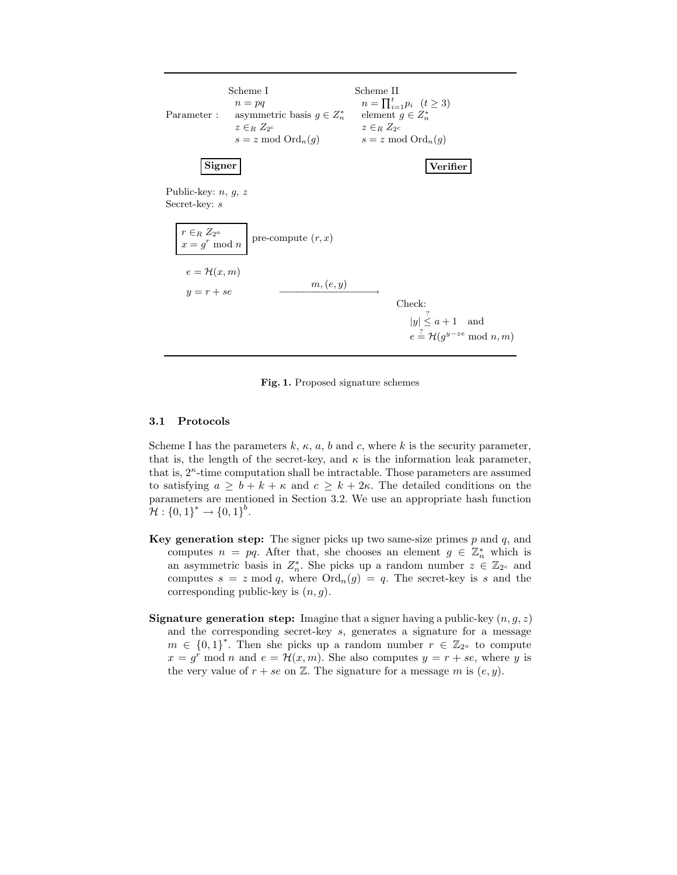

**Fig. 1.** Proposed signature schemes

#### **3.1 Protocols**

Scheme I has the parameters k,  $\kappa$ ,  $a$ ,  $b$  and  $c$ , where k is the security parameter, that is, the length of the secret-key, and  $\kappa$  is the information leak parameter, that is,  $2^{\kappa}$ -time computation shall be intractable. Those parameters are assumed to satisfying  $a \geq b + k + \kappa$  and  $c \geq k + 2\kappa$ . The detailed conditions on the parameters are mentioned in Section 3.2. We use an appropriate hash function  $\mathcal{H}: \{0,1\}^* \to \{0,1\}^b.$ 

- **Key generation step:** The signer picks up two same-size primes  $p$  and  $q$ , and computes  $n = pq$ . After that, she chooses an element  $g \in \mathbb{Z}_n^*$  which is<br>an asymmetric basis in  $\mathbb{Z}^*$ . She picks up a random number  $z \in \mathbb{Z}_{\infty}$  and an asymmetric basis in  $Z_n^*$ . She picks up a random number  $z \in \mathbb{Z}_{2^c}$  and computes  $s = z \mod a$ , where  $\text{Ord}(a) = a$ . The secret-key is s and the computes  $s = z \mod q$ , where  $\text{Ord}_n(q) = q$ . The secret-key is s and the corresponding public-key is  $(n, q)$ .
- **Signature generation step:** Imagine that a signer having a public-key  $(n, q, z)$ and the corresponding secret-key s, generates a signature for a message  $m \in \{0,1\}^*$ . Then she picks up a random number  $r \in \mathbb{Z}_{2^a}$  to compute<br> $r = a^r \mod n$  and  $e = \mathcal{H}(r, m)$ . She also computes  $u = r + se$ , where u is  $x = g^r \mod n$  and  $e = \mathcal{H}(x, m)$ . She also computes  $y = r + se$ , where y is the very value of  $r + se$  on  $\mathbb{Z}$ . The signature for a message m is  $(e, y)$ .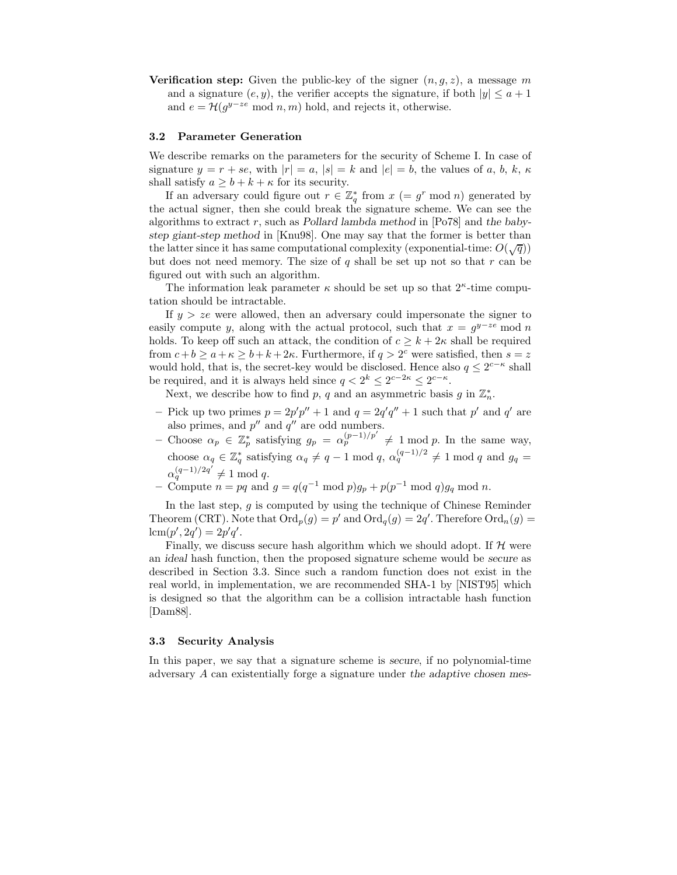**Verification step:** Given the public-key of the signer  $(n, q, z)$ , a message m and a signature  $(e, y)$ , the verifier accepts the signature, if both  $|y| \leq a + 1$ and  $e = \mathcal{H}(g^{y-ze} \mod n, m)$  hold, and rejects it, otherwise.

#### **3.2 Parameter Generation**

We describe remarks on the parameters for the security of Scheme I. In case of signature  $y = r + se$ , with  $|r| = a$ ,  $|s| = k$  and  $|e| = b$ , the values of a, b, k,  $\kappa$ shall satisfy  $a \geq b + k + \kappa$  for its security.

If an adversary could figure out  $r \in \mathbb{Z}_q^*$  from  $x (= g^r \mod n)$  generated by actual signer, then she could break the signature scheme. We can see the the actual signer, then she could break the signature scheme. We can see the algorithms to extract r, such as *Pollard lambda method* in [Po78] and *the babystep giant-step method* in [Knu98]. One may say that the former is better than the latter since it has same computational complexity (exponential-time:  $O(\sqrt{q})$ )<br>but does not need memory. The size of a shall be set up not so that x can be but does not need memory. The size of  $q$  shall be set up not so that  $r$  can be figured out with such an algorithm.

The information leak parameter  $\kappa$  should be set up so that  $2^{\kappa}$ -time computation should be intractable.

If  $y > ze$  were allowed, then an adversary could impersonate the signer to easily compute y, along with the actual protocol, such that  $x = g^{y-ze} \mod n$ holds. To keep off such an attack, the condition of  $c \geq k + 2\kappa$  shall be required from  $c+b \ge a+\kappa \ge b+k+2\kappa$ . Furthermore, if  $q > 2^c$  were satisfied, then  $s = z$ would hold, that is, the secret-key would be disclosed. Hence also  $q \leq 2^{c-\kappa}$  shall be required, and it is always held since  $q < 2^k \leq 2^{c-2\kappa} \leq 2^{c-\kappa}$ .

Next, we describe how to find p, q and an asymmetric basis g in  $\mathbb{Z}_n^*$ .

- Pick up two primes  $p = 2p'p'' + 1$  and  $q = 2q'q'' + 1$  such that p' and q' are also primes, and p'' and q'' are odd numbers.<br>Choose  $c_n \in \mathbb{Z}^*$  satisfying  $c_n = e^{(p-1)/p'}$
- $-$  Choose  $\alpha_p \in \mathbb{Z}_p^*$  satisfying  $g_p = \alpha_p^{(p-1)/p'} \neq 1 \mod p$ . In the same way, choose  $\alpha_q \in \mathbb{Z}_q^*$  satisfying  $\alpha_q \neq q-1 \mod q$ ,  $\alpha_q^{(q-1)/2} \neq 1 \mod q$  and  $g_q =$  $\alpha_q^{(q-1)/2q'} \neq 1 \mod q.$ <br>Compute  $n \equiv na$  and
- Compute  $n = pq$  and  $g = q(q^{-1} \mod p)g_p + p(p^{-1} \mod q)g_q \mod n$ .

In the last step,  $g$  is computed by using the technique of Chinese Reminder Theorem (CRT). Note that  $\text{Ord}_p(g) = p'$  and  $\text{Ord}_q(g) = 2q'$ . Therefore  $\text{Ord}_n(g) = \text{lcm}(n' \cdot 2q') = 2n'q'$  $\lim (p', 2q') = 2p'q'.$ 

Finally, we discuss secure hash algorithm which we should adopt. If  $\mathcal H$  were an *ideal* hash function, then the proposed signature scheme would be *secure* as described in Section 3.3. Since such a random function does not exist in the real world, in implementation, we are recommended SHA-1 by [NIST95] which is designed so that the algorithm can be a collision intractable hash function [Dam88].

#### **3.3 Security Analysis**

In this paper, we say that a signature scheme is *secure*, if no polynomial-time adversary A can existentially forge a signature under *the adaptive chosen mes-*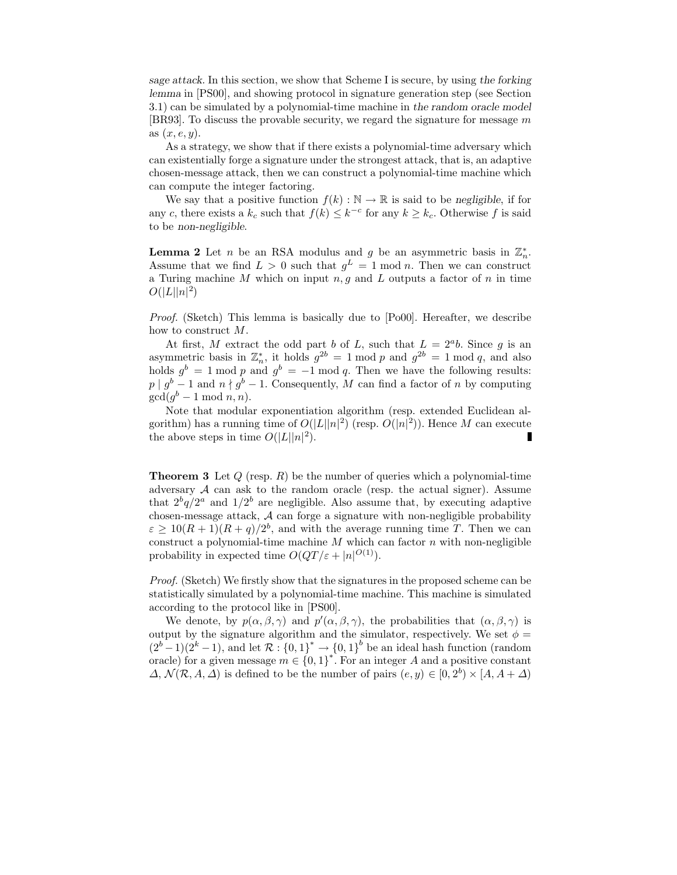*sage attack*. In this section, we show that Scheme I is secure, by using *the forking lemma* in [PS00], and showing protocol in signature generation step (see Section 3.1) can be simulated by a polynomial-time machine in *the random oracle model* [BR93]. To discuss the provable security, we regard the signature for message  $m$ as  $(x, e, y)$ .

As a strategy, we show that if there exists a polynomial-time adversary which can existentially forge a signature under the strongest attack, that is, an adaptive chosen-message attack, then we can construct a polynomial-time machine which can compute the integer factoring.

We say that a positive function  $f(k): \mathbb{N} \to \mathbb{R}$  is said to be *negligible*, if for any c, there exists a  $k_c$  such that  $f(k) \leq k^{-c}$  for any  $k \geq k_c$ . Otherwise f is said to be *non-negligible*.

**Lemma 2** Let *n* be an RSA modulus and *g* be an asymmetric basis in  $\mathbb{Z}_n^*$ .<br>Assume that we find  $L > 0$  such that  $a^L - 1$  mod *n*. Then we can construct Assume that we find  $L > 0$  such that  $g^L = 1 \text{ mod } n$ . Then we can construct a Turing machine  $M$  which on input  $n, g$  and  $L$  outputs a factor of  $n$  in time  $O(|L||n|^2)$ 

*Proof.* (Sketch) This lemma is basically due to [Po00]. Hereafter, we describe how to construct M.

At first, M extract the odd part b of L, such that  $L = 2<sup>a</sup>b$ . Since g is an asymmetric basis in  $\mathbb{Z}_n^*$ , it holds  $g^{2b} = 1 \mod p$  and  $g^{2b} = 1 \mod q$ , and also holds  $g^b = 1 \mod p$  and  $g^b = -1 \mod q$ . Then we have the following results: holds  $g^b = 1 \mod p$  and  $g^b = -1 \mod q$ . Then we have the following results:  $p \mid g^b - 1$  and  $n \nmid g^b - 1$ . Consequently, M can find a factor of n by computing  $gcd(g^b - 1 \mod n, n)$  $gcd(g^b - 1 \mod n, n).$ 

Note that modular exponentiation algorithm (resp. extended Euclidean algorithm) has a running time of  $O(|L||n|^2)$  (resp.  $O(|n|^2)$ ). Hence M can execute the above steps in time  $O(|L||n|^2)$ the above steps in time  $O(|L||n|^2)$ .

**Theorem 3** Let  $Q$  (resp.  $R$ ) be the number of queries which a polynomial-time adversary  $A$  can ask to the random oracle (resp. the actual signer). Assume that  $2^{b}q/2^{a}$  and  $1/2^{b}$  are negligible. Also assume that, by executing adaptive chosen-message attack, A can forge a signature with non-negligible probability  $\varepsilon \geq 10(R+1)(R+q)/2^b$ , and with the average running time T. Then we can construct a polynomial-time machine  $M$  which can factor  $n$  with non-negligible probability in expected time  $O(QT/\varepsilon + |n|^{O(1)})$ .

*Proof.* (Sketch) We firstly show that the signatures in the proposed scheme can be statistically simulated by a polynomial-time machine. This machine is simulated according to the protocol like in [PS00].

We denote, by  $p(\alpha, \beta, \gamma)$  and  $p'(\alpha, \beta, \gamma)$ , the probabilities that  $(\alpha, \beta, \gamma)$  is<br>put by the signature algorithm and the simulator respectively. We set  $\phi$  – output by the signature algorithm and the simulator, respectively. We set  $\phi = (2^b - 1)(2^k - 1)$  and let  $\mathcal{R} \cdot (0, 1)^* \rightarrow (0, 1)^b$  be an ideal hash function (random  $(2^{b}-1)(2^{k}-1)$ , and let  $\mathcal{R}:\{0,1\}^{*} \to \{0,1\}^{b}$  be an ideal hash function (random oracle) for a given message  $m \in \{0,1\}^{*}$ . For an integer  $A$  and a positive constant oracle) for a given message  $m \in \{0,1\}^*$ . For an integer A and a positive constant  $A \cap \{(\mathcal{P} \mid A \cap A) \}$  is defined to be the number of pairs  $(e, u) \in [0, 2^b) \times [4, 4 + \Lambda)$  $\Delta, \mathcal{N}(\mathcal{R}, A, \Delta)$  is defined to be the number of pairs  $(e, y) \in [0, 2^b) \times [A, A + \Delta)$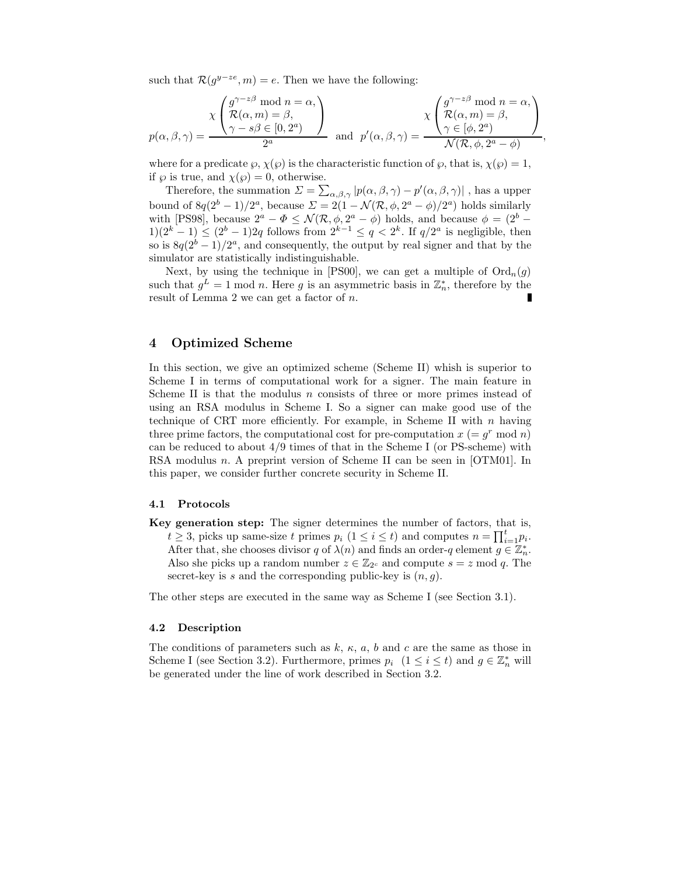such that  $\mathcal{R}(g^{y-ze}, m) = e$ . Then we have the following:

$$
p(\alpha, \beta, \gamma) = \frac{\chi\begin{pmatrix} g^{\gamma - z\beta} \bmod n = \alpha, \\ \mathcal{R}(\alpha, m) = \beta, \\ \gamma - s\beta \in [0, 2^a) \end{pmatrix}}{2^a} \text{ and } p'(\alpha, \beta, \gamma) = \frac{\chi\begin{pmatrix} g^{\gamma - z\beta} \bmod n = \alpha, \\ \mathcal{R}(\alpha, m) = \beta, \\ \gamma \in [\phi, 2^a) \end{pmatrix}}{\mathcal{N}(\mathcal{R}, \phi, 2^a - \phi)},
$$

where for a predicate  $\wp, \chi(\wp)$  is the characteristic function of  $\wp$ , that is,  $\chi(\wp) = 1$ , if  $\wp$  is true, and  $\chi(\wp) = 0$ , otherwise.

Therefore, the summation  $\Sigma = \sum_{\alpha,\beta,\gamma} |p(\alpha,\beta,\gamma) - p'(\alpha,\beta,\gamma)|$ , has a upper bound of  $8q(2^b-1)/2^a$ , because  $\Sigma = 2(1 - \mathcal{N}(\mathcal{R}, \phi, 2^a - \phi)/2^a)$  holds similarly with [PS98] because  $2^a - \phi \leq \mathcal{N}(\mathcal{R}, \phi, 2^a - \phi)$  holds and because  $\phi = (2^b$ with [PS98], because  $2^a - \Phi \le \mathcal{N}(\mathcal{R}, \phi, 2^a - \phi)$  holds, and because  $\phi = (2^b - 1)(2^k - 1) \le (2^b - 1)(2^a)$  follows from  $2^{k-1} \le a \le 2^k$ . If  $a/2^a$  is negligible, then  $1)(2^k - 1) \le (2^b - 1)2q$  follows from  $2^{k-1} \le q < 2^k$ . If  $q/2^a$  is negligible, then  $\infty$  is  $8q(2^b - 1)/2^a$  and consequently the output by real signer and that by the so is  $8q(2^b-1)/2^a$ , and consequently, the output by real signer and that by the simulator are statistically indistinguishable.

Next, by using the technique in [PS00], we can get a multiple of  $\text{Ord}_n(g)$ such that  $g^L = 1 \mod n$ . Here g is an asymmetric basis in  $\mathbb{Z}_n^*$ , therefore by the result of Lemma 2 we can get a factor of n result of Lemma 2 we can get a factor of n.

## **4 Optimized Scheme**

In this section, we give an optimized scheme (Scheme II) whish is superior to Scheme I in terms of computational work for a signer. The main feature in Scheme II is that the modulus  $n$  consists of three or more primes instead of using an RSA modulus in Scheme I. So a signer can make good use of the technique of CRT more efficiently. For example, in Scheme II with  $n$  having three prime factors, the computational cost for pre-computation  $x (= q<sup>r</sup> \mod n)$ can be reduced to about 4/9 times of that in the Scheme I (or PS-scheme) with RSA modulus n. A preprint version of Scheme II can be seen in [OTM01]. In this paper, we consider further concrete security in Scheme II.

## **4.1 Protocols**

**Key generation step:** The signer determines the number of factors, that is,  $t \geq 3$ , picks up same-size t primes  $p_i$   $(1 \leq i \leq t)$  and computes  $n = \prod_{i=1}^{t} p_i$ .<br>After that, she chooses divisor a of  $\lambda(n)$  and finds an order a element  $a \in \mathbb{Z}^*$ . After that, she chooses divisor q of  $\lambda(n)$  and finds an order-q element  $g \in \mathbb{Z}_n^*$ .<br>Also she picks up a random number  $z \in \mathbb{Z}_n$  and compute  $s = z \mod q$ . The Also she picks up a random number  $z \in \mathbb{Z}_{2^c}$  and compute  $s = z \mod q$ . The secret-key is s and the corresponding public-key is  $(n, g)$ .

The other steps are executed in the same way as Scheme I (see Section 3.1).

#### **4.2 Description**

The conditions of parameters such as  $k, \kappa, a, b$  and c are the same as those in Scheme I (see Section 3.2). Furthermore, primes  $p_i$   $(1 \le i \le t)$  and  $g \in \mathbb{Z}_n^*$  will be generated under the line of work described in Section 3.2. be generated under the line of work described in Section 3.2.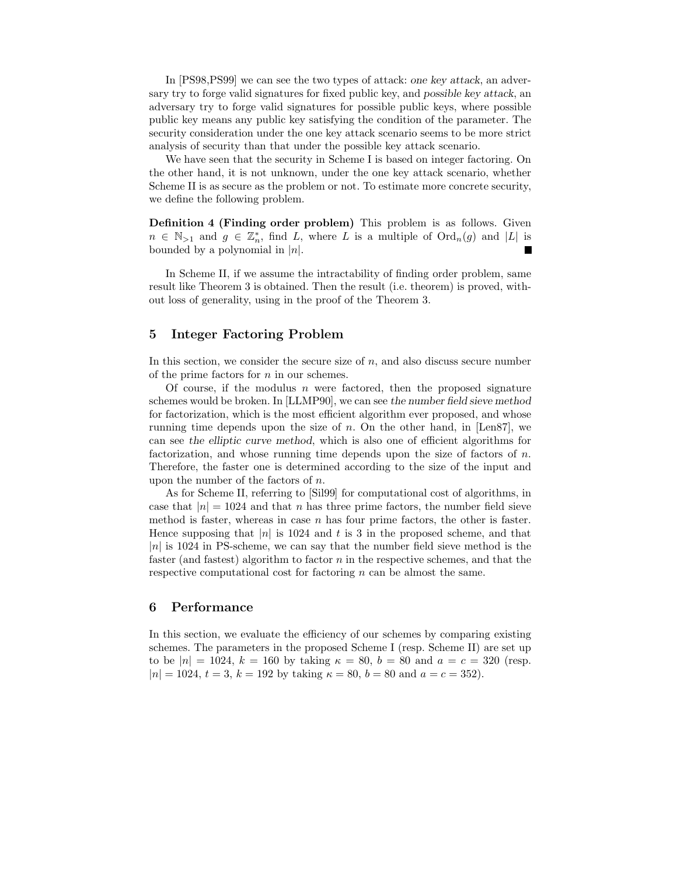In [PS98,PS99] we can see the two types of attack: *one key attack*, an adversary try to forge valid signatures for fixed public key, and *possible key attack*, an adversary try to forge valid signatures for possible public keys, where possible public key means any public key satisfying the condition of the parameter. The security consideration under the one key attack scenario seems to be more strict analysis of security than that under the possible key attack scenario.

We have seen that the security in Scheme I is based on integer factoring. On the other hand, it is not unknown, under the one key attack scenario, whether Scheme II is as secure as the problem or not. To estimate more concrete security, we define the following problem.

**Definition 4 (Finding order problem)** This problem is as follows. Given  $n \in \mathbb{N}_{>1}$  and  $g \in \mathbb{Z}_n^*$ , find L, where L is a multiple of  $\text{Ord}_n(g)$  and  $|L|$  is hounded by a polynomial in |n| bounded by a polynomial in  $|n|$ .

In Scheme II, if we assume the intractability of finding order problem, same result like Theorem 3 is obtained. Then the result (i.e. theorem) is proved, without loss of generality, using in the proof of the Theorem 3.

## **5 Integer Factoring Problem**

In this section, we consider the secure size of n, and also discuss secure number of the prime factors for  $n$  in our schemes.

Of course, if the modulus  $n$  were factored, then the proposed signature schemes would be broken. In [LLMP90], we can see *the number field sieve method* for factorization, which is the most efficient algorithm ever proposed, and whose running time depends upon the size of n. On the other hand, in [Len87], we can see *the elliptic curve method*, which is also one of efficient algorithms for factorization, and whose running time depends upon the size of factors of  $n$ . Therefore, the faster one is determined according to the size of the input and upon the number of the factors of  $n$ .

As for Scheme II, referring to [Sil99] for computational cost of algorithms, in case that  $|n| = 1024$  and that n has three prime factors, the number field sieve method is faster, whereas in case  $n$  has four prime factors, the other is faster. Hence supposing that |n| is 1024 and t is 3 in the proposed scheme, and that  $|n|$  is 1024 in PS-scheme, we can say that the number field sieve method is the faster (and fastest) algorithm to factor  $n$  in the respective schemes, and that the respective computational cost for factoring  $n$  can be almost the same.

## **6 Performance**

In this section, we evaluate the efficiency of our schemes by comparing existing schemes. The parameters in the proposed Scheme I (resp. Scheme II) are set up to be  $|n| = 1024$ ,  $k = 160$  by taking  $\kappa = 80$ ,  $b = 80$  and  $a = c = 320$  (resp.  $|n| = 1024$ ,  $t = 3$ ,  $k = 192$  by taking  $\kappa = 80$ ,  $b = 80$  and  $a = c = 352$ .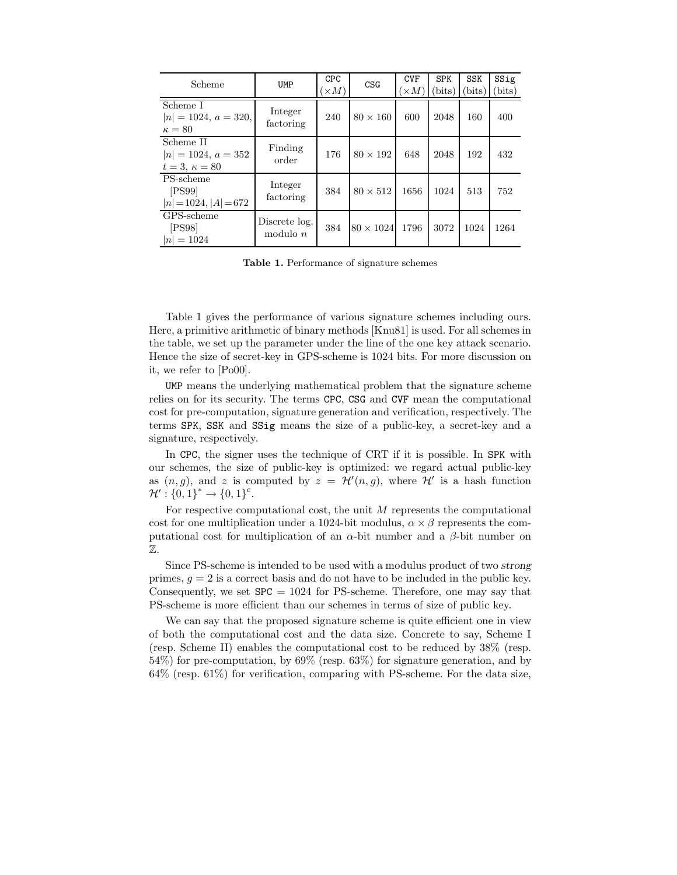| Scheme                                                        | <b>UMP</b>                  | <b>CPC</b><br>$\times M$ | CSG              | <b>CVF</b><br>$\times M$ | <b>SPK</b><br>(bits) | <b>SSK</b><br>(bits) | SSig<br>(bits) |
|---------------------------------------------------------------|-----------------------------|--------------------------|------------------|--------------------------|----------------------|----------------------|----------------|
| Scheme I<br>$ n  = 1024, a = 320,$<br>$\kappa = 80$           | Integer<br>factoring        | 240                      | $80 \times 160$  | 600                      | 2048                 | 160                  | 400            |
| Scheme II<br>$ n  = 1024, a = 352$<br>$t = 3, \, \kappa = 80$ | Finding<br>order            | 176                      | $80 \times 192$  | 648                      | 2048                 | 192                  | 432            |
| PS-scheme<br>[PS99]<br>$ n =1024,  A =672$                    | Integer<br>factoring        | 384                      | $80 \times 512$  | 1656                     | 1024                 | 513                  | 752            |
| GPS-scheme<br>[PS98]<br>$ n  = 1024$                          | Discrete log.<br>modulo $n$ | 384                      | $80 \times 1024$ | 1796                     | 3072                 | 1024                 | 1264           |

**Table 1.** Performance of signature schemes

Table 1 gives the performance of various signature schemes including ours. Here, a primitive arithmetic of binary methods [Knu81] is used. For all schemes in the table, we set up the parameter under the line of the one key attack scenario. Hence the size of secret-key in GPS-scheme is 1024 bits. For more discussion on it, we refer to [Po00].

UMP means the underlying mathematical problem that the signature scheme relies on for its security. The terms CPC, CSG and CVF mean the computational cost for pre-computation, signature generation and verification, respectively. The terms SPK, SSK and SSig means the size of a public-key, a secret-key and a signature, respectively.

In CPC, the signer uses the technique of CRT if it is possible. In SPK with our schemes, the size of public-key is optimized: we regard actual public-key as  $(n, g)$ , and z is computed by  $z = \mathcal{H}'(n, g)$ , where  $\mathcal{H}'$  is a hash function  $\mathcal{H}' \cdot f(1)$   $1^* \rightarrow f(1)$   $1^c$  $\mathcal{H}' : \{0,1\}^* \to \{0,1\}^c.$ 

For respective computational cost, the unit  $M$  represents the computational cost for one multiplication under a 1024-bit modulus,  $\alpha \times \beta$  represents the computational cost for multiplication of an α-bit number and a β-bit number on Z.

Since PS-scheme is intended to be used with a modulus product of two *strong* primes,  $g = 2$  is a correct basis and do not have to be included in the public key. Consequently, we set  $SPC = 1024$  for PS-scheme. Therefore, one may say that PS-scheme is more efficient than our schemes in terms of size of public key.

We can say that the proposed signature scheme is quite efficient one in view of both the computational cost and the data size. Concrete to say, Scheme I (resp. Scheme II) enables the computational cost to be reduced by 38% (resp. 54%) for pre-computation, by 69% (resp. 63%) for signature generation, and by 64% (resp. 61%) for verification, comparing with PS-scheme. For the data size,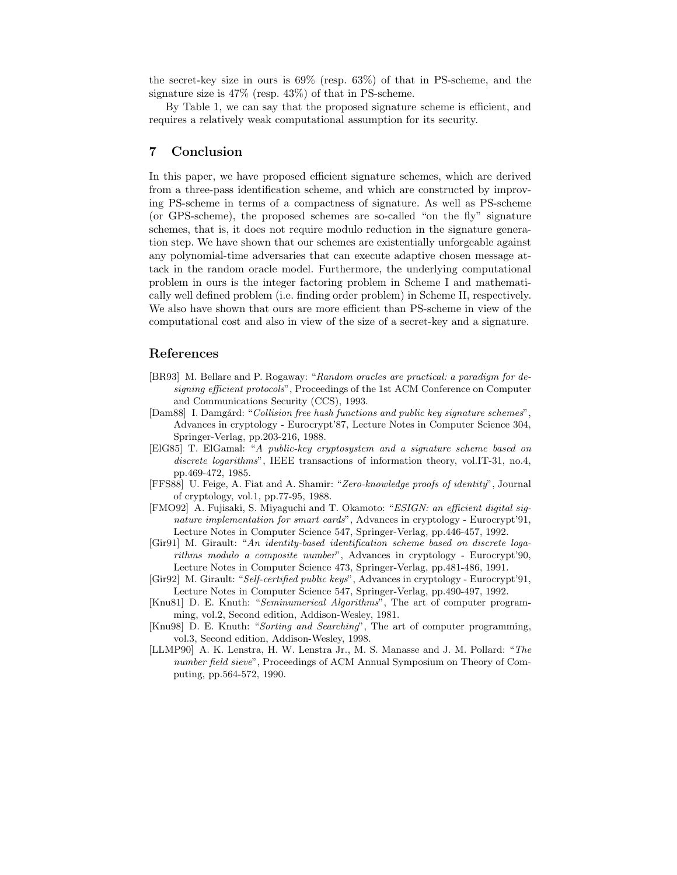the secret-key size in ours is 69% (resp. 63%) of that in PS-scheme, and the signature size is 47% (resp. 43%) of that in PS-scheme.

By Table 1, we can say that the proposed signature scheme is efficient, and requires a relatively weak computational assumption for its security.

## **7 Conclusion**

In this paper, we have proposed efficient signature schemes, which are derived from a three-pass identification scheme, and which are constructed by improving PS-scheme in terms of a compactness of signature. As well as PS-scheme (or GPS-scheme), the proposed schemes are so-called "on the fly" signature schemes, that is, it does not require modulo reduction in the signature generation step. We have shown that our schemes are existentially unforgeable against any polynomial-time adversaries that can execute adaptive chosen message attack in the random oracle model. Furthermore, the underlying computational problem in ours is the integer factoring problem in Scheme I and mathematically well defined problem (i.e. finding order problem) in Scheme II, respectively. We also have shown that ours are more efficient than PS-scheme in view of the computational cost and also in view of the size of a secret-key and a signature.

## **References**

- [BR93] M. Bellare and P. Rogaway: "Random oracles are practical: a paradigm for designing efficient protocols", Proceedings of the 1st ACM Conference on Computer and Communications Security (CCS), 1993.
- [Dam88] I. Damgård: "Collision free hash functions and public key signature schemes", Advances in cryptology - Eurocrypt'87, Lecture Notes in Computer Science 304, Springer-Verlag, pp.203-216, 1988.
- [ElG85] T. ElGamal: "A public-key cryptosystem and a signature scheme based on discrete logarithms", IEEE transactions of information theory, vol.IT-31, no.4, pp.469-472, 1985.
- [FFS88] U. Feige, A. Fiat and A. Shamir: "Zero-knowledge proofs of identity", Journal of cryptology, vol.1, pp.77-95, 1988.
- [FMO92] A. Fujisaki, S. Miyaguchi and T. Okamoto: "ESIGN: an efficient digital signature implementation for smart cards", Advances in cryptology - Eurocrypt'91, Lecture Notes in Computer Science 547, Springer-Verlag, pp.446-457, 1992.
- [Gir91] M. Girault: "An identity-based identification scheme based on discrete logarithms modulo a composite number", Advances in cryptology - Eurocrypt'90, Lecture Notes in Computer Science 473, Springer-Verlag, pp.481-486, 1991.
- [Gir92] M. Girault: "Self-certified public keys", Advances in cryptology Eurocrypt'91, Lecture Notes in Computer Science 547, Springer-Verlag, pp.490-497, 1992.
- [Knu81] D. E. Knuth: "Seminumerical Algorithms", The art of computer programming, vol.2, Second edition, Addison-Wesley, 1981.
- [Knu98] D. E. Knuth: "Sorting and Searching", The art of computer programming, vol.3, Second edition, Addison-Wesley, 1998.
- [LLMP90] A. K. Lenstra, H. W. Lenstra Jr., M. S. Manasse and J. M. Pollard: "The number field sieve", Proceedings of ACM Annual Symposium on Theory of Computing, pp.564-572, 1990.